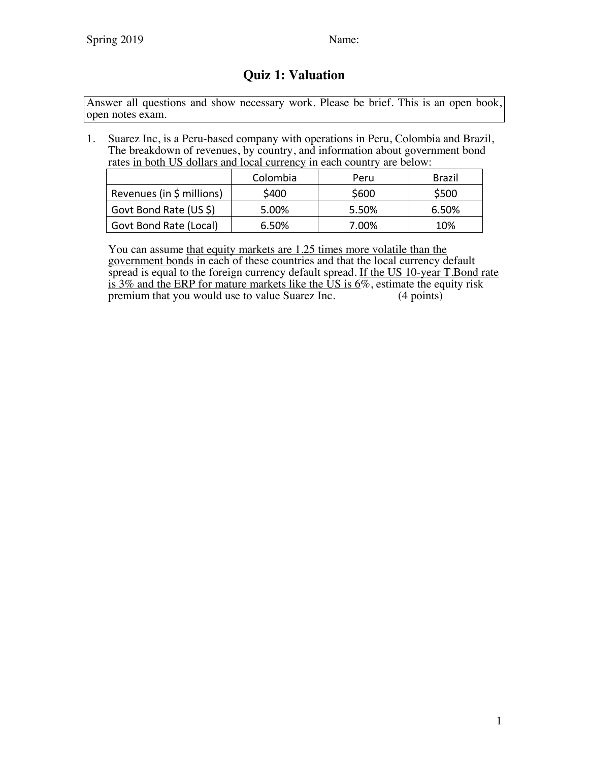## **Quiz 1: Valuation**

Answer all questions and show necessary work. Please be brief. This is an open book, open notes exam.

1. Suarez Inc, is a Peru-based company with operations in Peru, Colombia and Brazil, The breakdown of revenues, by country, and information about government bond rates in both US dollars and local currency in each country are below:

|                           | Colombia | Peru  | <b>Brazil</b> |
|---------------------------|----------|-------|---------------|
| Revenues (in \$ millions) | \$400    | \$600 | \$500         |
| Govt Bond Rate (US \$)    | 5.00%    | 5.50% | 6.50%         |
| Govt Bond Rate (Local)    | 6.50%    | 7.00% | 10%           |

You can assume that equity markets are 1.25 times more volatile than the government bonds in each of these countries and that the local currency default spread is equal to the foreign currency default spread. If the US 10-year T.Bond rate is 3% and the ERP for mature markets like the US is  $6\%$ , estimate the equity risk premium that you would use to value Suarez Inc. (4 points) premium that you would use to value Suarez Inc.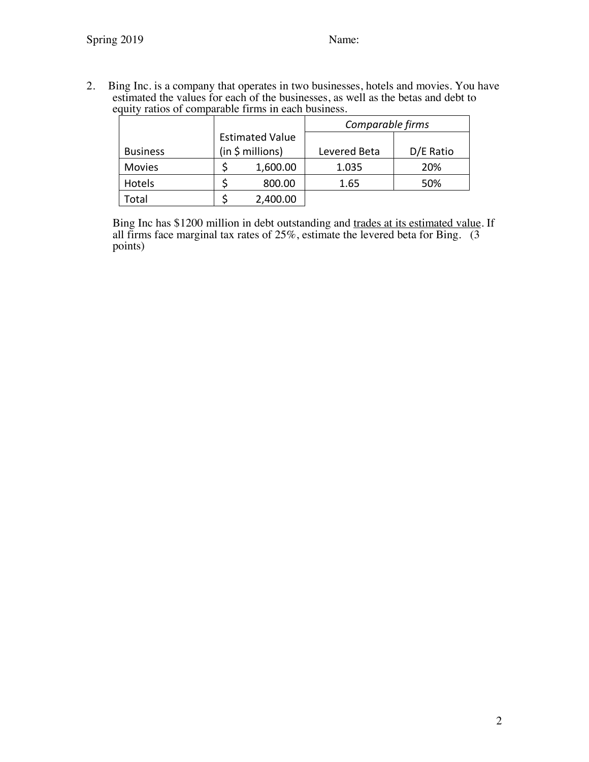2. Bing Inc. is a company that operates in two businesses, hotels and movies. You have estimated the values for each of the businesses, as well as the betas and debt to equity ratios of comparable firms in each business.

|                 | <b>Estimated Value</b><br>(in \$ millions) |          | Comparable firms |           |  |
|-----------------|--------------------------------------------|----------|------------------|-----------|--|
|                 |                                            |          |                  |           |  |
| <b>Business</b> |                                            |          | Levered Beta     | D/E Ratio |  |
| <b>Movies</b>   |                                            | 1,600.00 | 1.035            | 20%       |  |
| Hotels          |                                            | 800.00   | 1.65             | 50%       |  |
| 'otal           |                                            | 2,400.00 |                  |           |  |

Bing Inc has \$1200 million in debt outstanding and trades at its estimated value. If all firms face marginal tax rates of  $25\%$ , estimate the levered beta for Bing. (3) points)